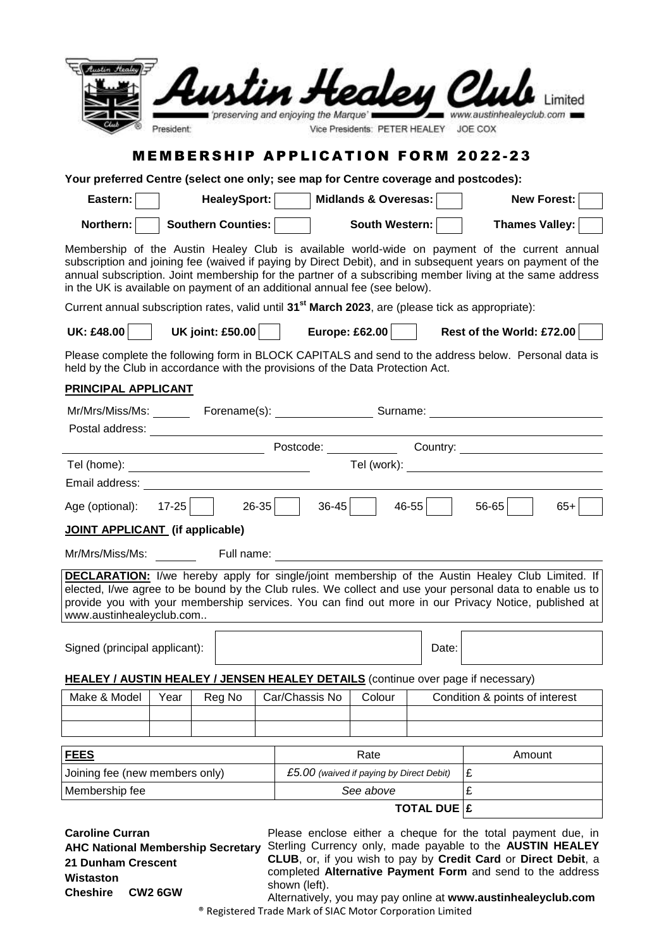| n Healey Clu<br>www.austinhealevclub.com 1<br>preserving and enjoying the Marque's<br>President:<br>Vice Presidents: PETER HEALEY JOE COX                                                                                                                                                                                                                                                             |                                                                                     |                                                                      |  |               |                |       |                                                                                                                                                                                                                                                                                                                             |  |
|-------------------------------------------------------------------------------------------------------------------------------------------------------------------------------------------------------------------------------------------------------------------------------------------------------------------------------------------------------------------------------------------------------|-------------------------------------------------------------------------------------|----------------------------------------------------------------------|--|---------------|----------------|-------|-----------------------------------------------------------------------------------------------------------------------------------------------------------------------------------------------------------------------------------------------------------------------------------------------------------------------------|--|
| <b>MEMBERSHIP APPLICATION FORM 2022-23</b>                                                                                                                                                                                                                                                                                                                                                            |                                                                                     |                                                                      |  |               |                |       |                                                                                                                                                                                                                                                                                                                             |  |
|                                                                                                                                                                                                                                                                                                                                                                                                       | Your preferred Centre (select one only; see map for Centre coverage and postcodes): |                                                                      |  |               |                |       |                                                                                                                                                                                                                                                                                                                             |  |
| Eastern:                                                                                                                                                                                                                                                                                                                                                                                              |                                                                                     | HealeySport:<br>Midlands & Overesas:<br><b>New Forest:</b>           |  |               |                |       |                                                                                                                                                                                                                                                                                                                             |  |
| Southern Counties:<br>South Western:<br><b>Thames Valley:</b><br>Northern:                                                                                                                                                                                                                                                                                                                            |                                                                                     |                                                                      |  |               |                |       |                                                                                                                                                                                                                                                                                                                             |  |
| Membership of the Austin Healey Club is available world-wide on payment of the current annual<br>subscription and joining fee (waived if paying by Direct Debit), and in subsequent years on payment of the<br>annual subscription. Joint membership for the partner of a subscribing member living at the same address<br>in the UK is available on payment of an additional annual fee (see below). |                                                                                     |                                                                      |  |               |                |       |                                                                                                                                                                                                                                                                                                                             |  |
| Current annual subscription rates, valid until 31 <sup>st</sup> March 2023, are (please tick as appropriate):                                                                                                                                                                                                                                                                                         |                                                                                     |                                                                      |  |               |                |       |                                                                                                                                                                                                                                                                                                                             |  |
| <b>UK: £48.00</b>                                                                                                                                                                                                                                                                                                                                                                                     |                                                                                     | UK joint: £50.00 $\vert$                                             |  |               | Europe: £62.00 |       | Rest of the World: £72.00                                                                                                                                                                                                                                                                                                   |  |
| Please complete the following form in BLOCK CAPITALS and send to the address below. Personal data is<br>held by the Club in accordance with the provisions of the Data Protection Act.                                                                                                                                                                                                                |                                                                                     |                                                                      |  |               |                |       |                                                                                                                                                                                                                                                                                                                             |  |
| PRINCIPAL APPLICANT                                                                                                                                                                                                                                                                                                                                                                                   |                                                                                     |                                                                      |  |               |                |       |                                                                                                                                                                                                                                                                                                                             |  |
|                                                                                                                                                                                                                                                                                                                                                                                                       |                                                                                     |                                                                      |  |               |                |       |                                                                                                                                                                                                                                                                                                                             |  |
|                                                                                                                                                                                                                                                                                                                                                                                                       |                                                                                     |                                                                      |  |               |                |       |                                                                                                                                                                                                                                                                                                                             |  |
|                                                                                                                                                                                                                                                                                                                                                                                                       |                                                                                     |                                                                      |  |               |                |       |                                                                                                                                                                                                                                                                                                                             |  |
|                                                                                                                                                                                                                                                                                                                                                                                                       |                                                                                     |                                                                      |  |               |                |       |                                                                                                                                                                                                                                                                                                                             |  |
| Email address: <u>__________________________</u>                                                                                                                                                                                                                                                                                                                                                      |                                                                                     |                                                                      |  |               |                |       |                                                                                                                                                                                                                                                                                                                             |  |
| Age (optional): 17-25   26-35<br>$36-45$<br>$46 - 55$<br>$56 - 65$<br>$65+$                                                                                                                                                                                                                                                                                                                           |                                                                                     |                                                                      |  |               |                |       |                                                                                                                                                                                                                                                                                                                             |  |
| <b>JOINT APPLICANT</b> (if applicable)                                                                                                                                                                                                                                                                                                                                                                |                                                                                     |                                                                      |  |               |                |       |                                                                                                                                                                                                                                                                                                                             |  |
| Mr/Mrs/Miss/Ms:                                                                                                                                                                                                                                                                                                                                                                                       |                                                                                     | Full name:                                                           |  |               |                |       |                                                                                                                                                                                                                                                                                                                             |  |
| www.austinhealeyclub.com                                                                                                                                                                                                                                                                                                                                                                              |                                                                                     |                                                                      |  |               |                |       | <b>DECLARATION:</b> I/we hereby apply for single/joint membership of the Austin Healey Club Limited. If<br>elected, I/we agree to be bound by the Club rules. We collect and use your personal data to enable us to<br>provide you with your membership services. You can find out more in our Privacy Notice, published at |  |
| Signed (principal applicant):                                                                                                                                                                                                                                                                                                                                                                         |                                                                                     |                                                                      |  |               |                | Date: |                                                                                                                                                                                                                                                                                                                             |  |
|                                                                                                                                                                                                                                                                                                                                                                                                       |                                                                                     |                                                                      |  |               |                |       |                                                                                                                                                                                                                                                                                                                             |  |
| <b>HEALEY / AUSTIN HEALEY / JENSEN HEALEY DETAILS</b> (continue over page if necessary)                                                                                                                                                                                                                                                                                                               |                                                                                     |                                                                      |  |               |                |       |                                                                                                                                                                                                                                                                                                                             |  |
| Make & Model                                                                                                                                                                                                                                                                                                                                                                                          | Year                                                                                | Car/Chassis No<br>Colour<br>Condition & points of interest<br>Reg No |  |               |                |       |                                                                                                                                                                                                                                                                                                                             |  |
|                                                                                                                                                                                                                                                                                                                                                                                                       |                                                                                     |                                                                      |  |               |                |       |                                                                                                                                                                                                                                                                                                                             |  |
|                                                                                                                                                                                                                                                                                                                                                                                                       |                                                                                     |                                                                      |  |               |                |       |                                                                                                                                                                                                                                                                                                                             |  |
| <b>FEES</b>                                                                                                                                                                                                                                                                                                                                                                                           |                                                                                     |                                                                      |  |               | Rate           |       | Amount                                                                                                                                                                                                                                                                                                                      |  |
| £<br>Joining fee (new members only)<br>£5.00 (waived if paying by Direct Debit)                                                                                                                                                                                                                                                                                                                       |                                                                                     |                                                                      |  |               |                |       |                                                                                                                                                                                                                                                                                                                             |  |
| £<br>Membership fee<br>See above                                                                                                                                                                                                                                                                                                                                                                      |                                                                                     |                                                                      |  |               |                |       |                                                                                                                                                                                                                                                                                                                             |  |
| <b>TOTAL DUE E</b>                                                                                                                                                                                                                                                                                                                                                                                    |                                                                                     |                                                                      |  |               |                |       |                                                                                                                                                                                                                                                                                                                             |  |
| <b>Caroline Curran</b><br><b>AHC National Membership Secretary</b><br>21 Dunham Crescent<br>Wistaston<br><b>Cheshire</b>                                                                                                                                                                                                                                                                              | <b>CW2 6GW</b>                                                                      |                                                                      |  | shown (left). |                |       | Please enclose either a cheque for the total payment due, in<br>Sterling Currency only, made payable to the AUSTIN HEALEY<br>CLUB, or, if you wish to pay by Credit Card or Direct Debit, a<br>completed Alternative Payment Form and send to the address<br>opling of www.austiphoalovelub                                 |  |

Alternatively, you may pay online at **www.austinhealeyclub.com** ® Registered Trade Mark of SIAC Motor Corporation Limited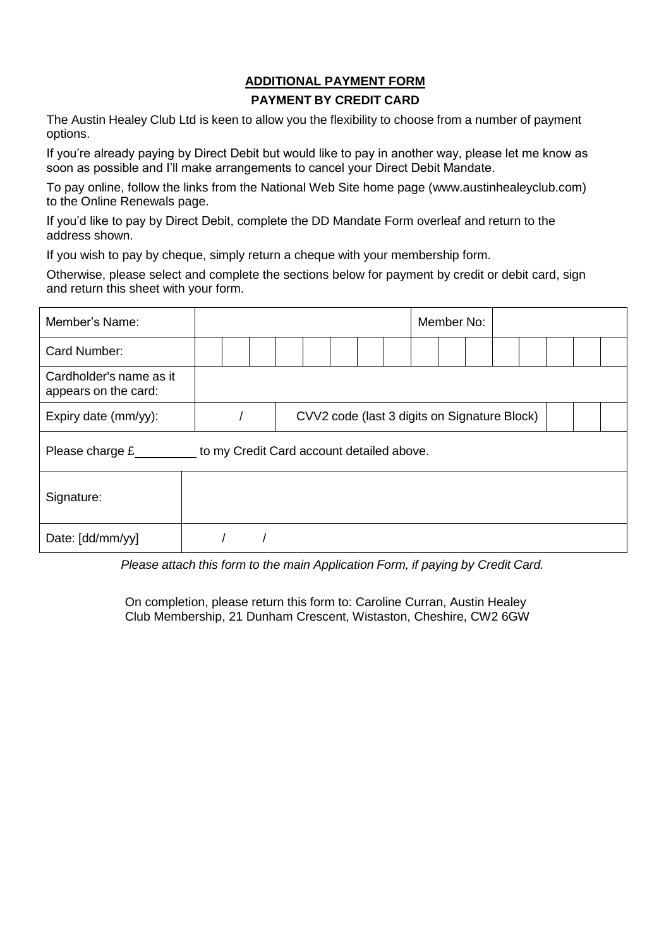#### **ADDITIONAL PAYMENT FORM PAYMENT BY CREDIT CARD**

The Austin Healey Club Ltd is keen to allow you the flexibility to choose from a number of payment options.

If you're already paying by Direct Debit but would like to pay in another way, please let me know as soon as possible and I'll make arrangements to cancel your Direct Debit Mandate.

To pay online, follow the links from the National Web Site home page (www.austinhealeyclub.com) to the Online Renewals page.

If you'd like to pay by Direct Debit, complete the DD Mandate Form overleaf and return to the address shown.

If you wish to pay by cheque, simply return a cheque with your membership form.

Otherwise, please select and complete the sections below for payment by credit or debit card, sign and return this sheet with your form.

| Member's Name:                                                 |                                              |  |  |  |  |  |  |  | Member No: |  |  |  |  |  |  |  |
|----------------------------------------------------------------|----------------------------------------------|--|--|--|--|--|--|--|------------|--|--|--|--|--|--|--|
| Card Number:                                                   |                                              |  |  |  |  |  |  |  |            |  |  |  |  |  |  |  |
| Cardholder's name as it<br>appears on the card:                |                                              |  |  |  |  |  |  |  |            |  |  |  |  |  |  |  |
| Expiry date (mm/yy):                                           | CVV2 code (last 3 digits on Signature Block) |  |  |  |  |  |  |  |            |  |  |  |  |  |  |  |
| Please charge $E$<br>to my Credit Card account detailed above. |                                              |  |  |  |  |  |  |  |            |  |  |  |  |  |  |  |
| Signature:                                                     |                                              |  |  |  |  |  |  |  |            |  |  |  |  |  |  |  |
| Date: [dd/mm/yy]                                               |                                              |  |  |  |  |  |  |  |            |  |  |  |  |  |  |  |

*Please attach this form to the main Application Form, if paying by Credit Card.*

On completion, please return this form to: Caroline Curran, Austin Healey Club Membership, 21 Dunham Crescent, Wistaston, Cheshire, CW2 6GW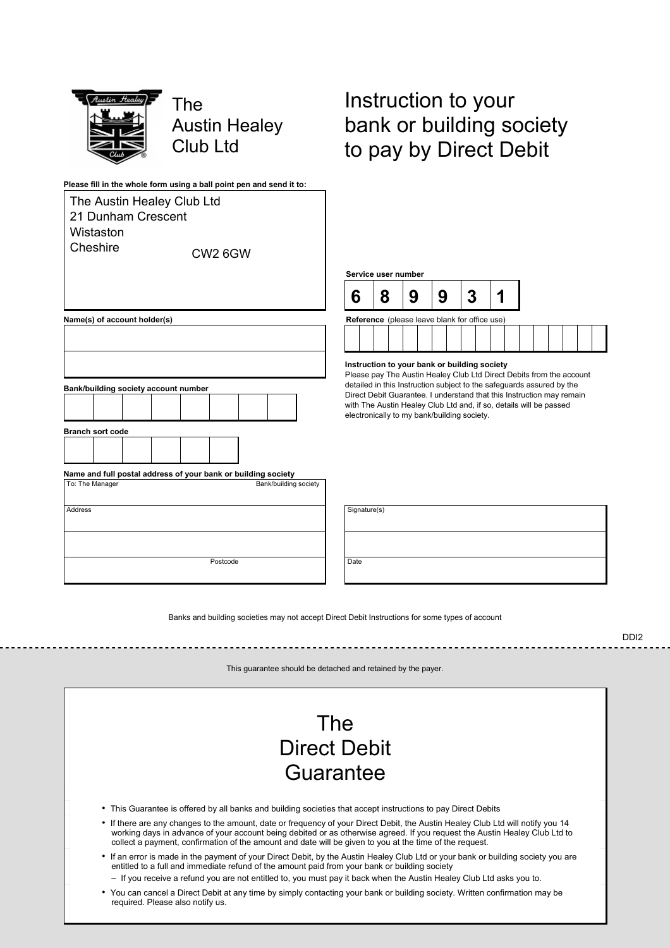

TheG **Austin Healey Club Ltd** 

# Instruction to your bank or building society to pay by Direct Debit

| Please fill in the whole form using a ball point pen and send it to: |                                                                                                  |   |
|----------------------------------------------------------------------|--------------------------------------------------------------------------------------------------|---|
| The Austin Healey Club Ltd                                           |                                                                                                  |   |
| 21 Dunham Crescent                                                   |                                                                                                  |   |
| Wistaston                                                            |                                                                                                  |   |
| Cheshire<br>CW <sub>26G</sub> W                                      |                                                                                                  |   |
|                                                                      | Service us                                                                                       |   |
|                                                                      | 6                                                                                                | ٤ |
| Name(s) of account holder(s)                                         | Reference                                                                                        |   |
|                                                                      |                                                                                                  |   |
|                                                                      |                                                                                                  |   |
| Bank/building society account number                                 | Instruction<br>Please pay<br>detailed in t<br><b>Direct Debit</b><br>with The Au<br>electronical |   |
| <b>Branch sort code</b>                                              |                                                                                                  |   |
|                                                                      |                                                                                                  |   |
| Name and full postal address of your bank or building society        |                                                                                                  |   |
| To: The Manager<br>Bank/building society                             |                                                                                                  |   |
| <b>Address</b>                                                       | Signature(s)                                                                                     |   |
|                                                                      |                                                                                                  |   |
| Postcode                                                             | Date                                                                                             |   |

# **Service)user)number) 6) 8) 9) 9) 3) 1) Prence** (please leave blank for office use)

**Instruction)to)your)bank)or)building)society)**

ase pay The Austin Healey Club Ltd Direct Debits from the account ailed in this Instruction subject to the safeguards assured by the ct Debit Guarantee. I understand that this Instruction may remain The Austin Healey Club Ltd and, if so, details will be passed tronically to my bank/building society.

| Signature(s) |  |
|--------------|--|
|              |  |
| Date         |  |

Banks and building societies may not accept Direct Debit Instructions for some types of account

DDI–G

This guarantee should be detached and retained by the payer.

# The Direct Debit Guarantee

- This Guarantee is offered by all banks and building societies that accept instructions to pay Direct Debits
- If there are any changes to the amount, date or frequency of your Direct Debit, the Austin Healey Club Ltd will notify you 14 working days in advance of your account being debited or as otherwise agreed. If you request the Austin Healey Club Ltd to collect a payment, confirmation of the amount and date will be given to you at the time of the request.
- If an error is made in the payment of your Direct Debit, by the Austin Healey Club Ltd or your bank or building society you are entitled to a full and immediate refund of the amount paid from your bank or building society
	- If you receive a refund you are not entitled to, you must pay it back when the Austin Healey Club Ltd asks you to.
- You can cancel a Direct Debit at any time by simply contacting your bank or building society. Written confirmation may be required. Please also notify us.